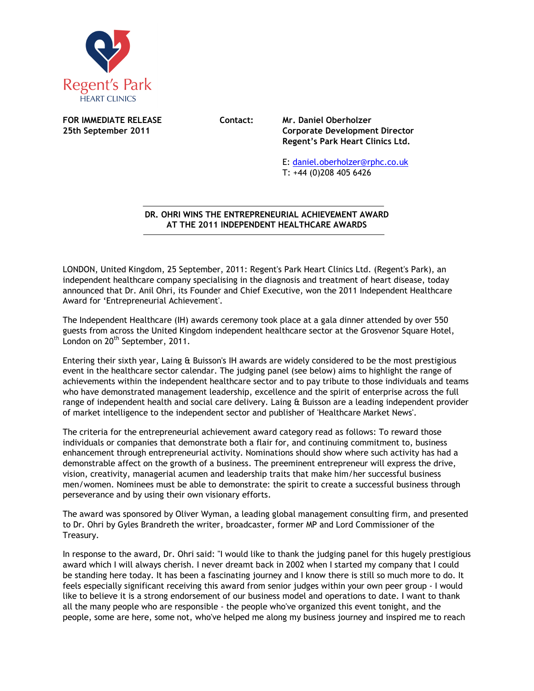

**FOR IMMEDIATE RELEASE Contact: Mr. Daniel Oberholzer** 

**25th September 2011 Corporate Development Director Regent's Park Heart Clinics Ltd.** 

> E: daniel.oberholzer@rphc.co.uk T: +44 (0)208 405 6426

## **DR. OHRI WINS THE ENTREPRENEURIAL ACHIEVEMENT AWARD AT THE 2011 INDEPENDENT HEALTHCARE AWARDS**  $\overline{a}$

LONDON, United Kingdom, 25 September, 2011: Regent's Park Heart Clinics Ltd. (Regent's Park), an independent healthcare company specialising in the diagnosis and treatment of heart disease, today announced that Dr. Anil Ohri, its Founder and Chief Executive, won the 2011 Independent Healthcare Award for 'Entrepreneurial Achievement'.

The Independent Healthcare (IH) awards ceremony took place at a gala dinner attended by over 550 guests from across the United Kingdom independent healthcare sector at the Grosvenor Square Hotel, London on 20<sup>th</sup> September, 2011.

Entering their sixth year, Laing & Buisson's IH awards are widely considered to be the most prestigious event in the healthcare sector calendar. The judging panel (see below) aims to highlight the range of achievements within the independent healthcare sector and to pay tribute to those individuals and teams who have demonstrated management leadership, excellence and the spirit of enterprise across the full range of independent health and social care delivery. Laing & Buisson are a leading independent provider of market intelligence to the independent sector and publisher of 'Healthcare Market News'.

The criteria for the entrepreneurial achievement award category read as follows: To reward those individuals or companies that demonstrate both a flair for, and continuing commitment to, business enhancement through entrepreneurial activity. Nominations should show where such activity has had a demonstrable affect on the growth of a business. The preeminent entrepreneur will express the drive, vision, creativity, managerial acumen and leadership traits that make him/her successful business men/women. Nominees must be able to demonstrate: the spirit to create a successful business through perseverance and by using their own visionary efforts.

The award was sponsored by Oliver Wyman, a leading global management consulting firm, and presented to Dr. Ohri by Gyles Brandreth the writer, broadcaster, former MP and Lord Commissioner of the Treasury.

In response to the award, Dr. Ohri said: "I would like to thank the judging panel for this hugely prestigious award which I will always cherish. I never dreamt back in 2002 when I started my company that I could be standing here today. It has been a fascinating journey and I know there is still so much more to do. It feels especially significant receiving this award from senior judges within your own peer group - I would like to believe it is a strong endorsement of our business model and operations to date. I want to thank all the many people who are responsible - the people who've organized this event tonight, and the people, some are here, some not, who've helped me along my business journey and inspired me to reach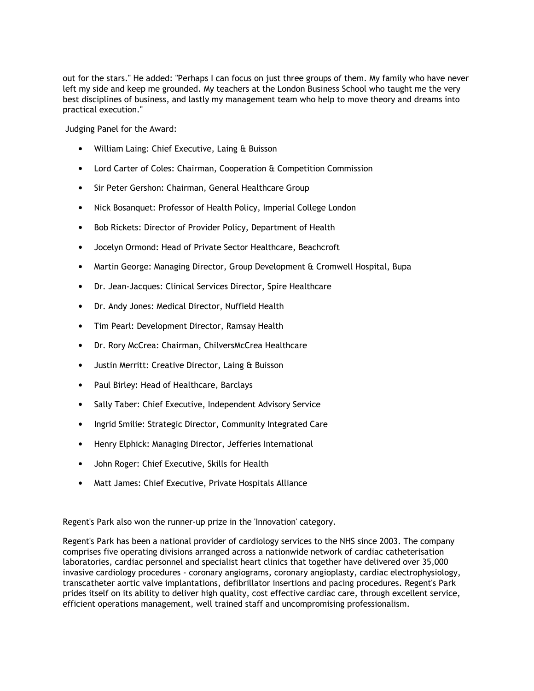out for the stars." He added: "Perhaps I can focus on just three groups of them. My family who have never left my side and keep me grounded. My teachers at the London Business School who taught me the very best disciplines of business, and lastly my management team who help to move theory and dreams into practical execution."

Judging Panel for the Award:

- William Laing: Chief Executive, Laing & Buisson
- Lord Carter of Coles: Chairman, Cooperation & Competition Commission
- Sir Peter Gershon: Chairman, General Healthcare Group
- Nick Bosanquet: Professor of Health Policy, Imperial College London
- Bob Rickets: Director of Provider Policy, Department of Health
- Jocelyn Ormond: Head of Private Sector Healthcare, Beachcroft
- Martin George: Managing Director, Group Development & Cromwell Hospital, Bupa
- Dr. Jean-Jacques: Clinical Services Director, Spire Healthcare
- Dr. Andy Jones: Medical Director, Nuffield Health
- Tim Pearl: Development Director, Ramsay Health
- Dr. Rory McCrea: Chairman, ChilversMcCrea Healthcare
- Justin Merritt: Creative Director, Laing & Buisson
- Paul Birley: Head of Healthcare, Barclays
- Sally Taber: Chief Executive, Independent Advisory Service
- Ingrid Smilie: Strategic Director, Community Integrated Care
- Henry Elphick: Managing Director, Jefferies International
- John Roger: Chief Executive, Skills for Health
- Matt James: Chief Executive, Private Hospitals Alliance

Regent's Park also won the runner-up prize in the 'Innovation' category.

Regent's Park has been a national provider of cardiology services to the NHS since 2003. The company comprises five operating divisions arranged across a nationwide network of cardiac catheterisation laboratories, cardiac personnel and specialist heart clinics that together have delivered over 35,000 invasive cardiology procedures - coronary angiograms, coronary angioplasty, cardiac electrophysiology, transcatheter aortic valve implantations, defibrillator insertions and pacing procedures. Regent's Park prides itself on its ability to deliver high quality, cost effective cardiac care, through excellent service, efficient operations management, well trained staff and uncompromising professionalism.